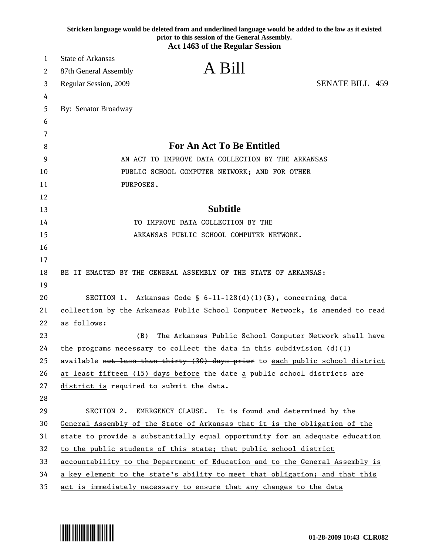|    | Stricken language would be deleted from and underlined language would be added to the law as it existed<br>prior to this session of the General Assembly.<br><b>Act 1463 of the Regular Session</b> |
|----|-----------------------------------------------------------------------------------------------------------------------------------------------------------------------------------------------------|
| 1  | <b>State of Arkansas</b>                                                                                                                                                                            |
| 2  | A Bill<br>87th General Assembly                                                                                                                                                                     |
| 3  | <b>SENATE BILL 459</b><br>Regular Session, 2009                                                                                                                                                     |
| 4  |                                                                                                                                                                                                     |
| 5  | By: Senator Broadway                                                                                                                                                                                |
| 6  |                                                                                                                                                                                                     |
| 7  |                                                                                                                                                                                                     |
| 8  | <b>For An Act To Be Entitled</b>                                                                                                                                                                    |
| 9  | AN ACT TO IMPROVE DATA COLLECTION BY THE ARKANSAS                                                                                                                                                   |
| 10 | PUBLIC SCHOOL COMPUTER NETWORK; AND FOR OTHER                                                                                                                                                       |
| 11 | PURPOSES.                                                                                                                                                                                           |
| 12 |                                                                                                                                                                                                     |
| 13 | <b>Subtitle</b>                                                                                                                                                                                     |
| 14 | TO IMPROVE DATA COLLECTION BY THE                                                                                                                                                                   |
| 15 | ARKANSAS PUBLIC SCHOOL COMPUTER NETWORK.                                                                                                                                                            |
| 16 |                                                                                                                                                                                                     |
| 17 |                                                                                                                                                                                                     |
| 18 | BE IT ENACTED BY THE GENERAL ASSEMBLY OF THE STATE OF ARKANSAS:                                                                                                                                     |
| 19 |                                                                                                                                                                                                     |
| 20 | SECTION 1. Arkansas Code § $6-11-128(d)(1)(B)$ , concerning data                                                                                                                                    |
| 21 | collection by the Arkansas Public School Computer Network, is amended to read                                                                                                                       |
| 22 | as follows:                                                                                                                                                                                         |
| 23 | (B)<br>The Arkansas Public School Computer Network shall have                                                                                                                                       |
| 24 | the programs necessary to collect the data in this subdivision $(d)(1)$                                                                                                                             |
| 25 | available not less than thirty (30) days prior to each public school district                                                                                                                       |
| 26 | at least fifteen (15) days before the date a public school districts are                                                                                                                            |
| 27 | district is required to submit the data.                                                                                                                                                            |
| 28 |                                                                                                                                                                                                     |
| 29 | SECTION 2.<br>EMERGENCY CLAUSE. It is found and determined by the                                                                                                                                   |
| 30 | General Assembly of the State of Arkansas that it is the obligation of the                                                                                                                          |
| 31 | state to provide a substantially equal opportunity for an adequate education                                                                                                                        |
| 32 | to the public students of this state; that public school district                                                                                                                                   |
| 33 | accountability to the Department of Education and to the General Assembly is                                                                                                                        |
| 34 | a key element to the state's ability to meet that obligation; and that this                                                                                                                         |
| 35 | act is immediately necessary to ensure that any changes to the data                                                                                                                                 |